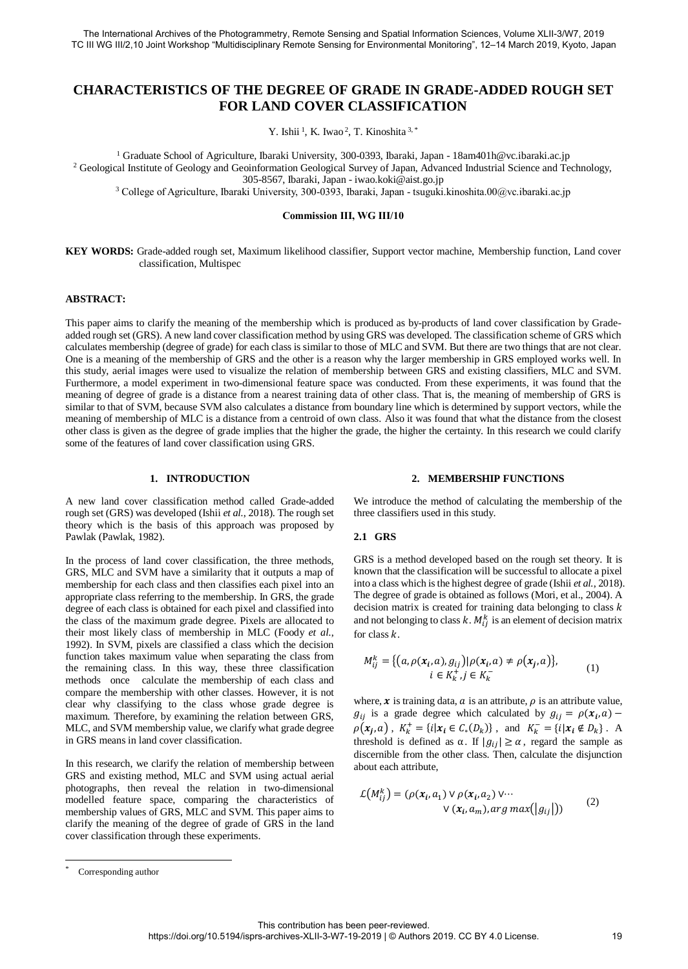# **CHARACTERISTICS OF THE DEGREE OF GRADE IN GRADE-ADDED ROUGH SET FOR LAND COVER CLASSIFICATION**

Y. Ishii<sup>1</sup>, K. Iwao<sup>2</sup>, T. Kinoshita<sup>3,\*</sup>

<sup>1</sup> Graduate School of Agriculture, Ibaraki University, 300-0393, Ibaraki, Japan - 18am401h@vc.ibaraki.ac.jp <sup>2</sup> Geological Institute of Geology and Geoinformation Geological Survey of Japan, Advanced Industrial Science and Technology, 305-8567, Ibaraki, Japan - iwao.koki@aist.go.jp

<sup>3</sup> College of Agriculture, Ibaraki University, 300-0393, Ibaraki, Japan - tsuguki.kinoshita.00@vc.ibaraki.ac.jp

#### **Commission III, WG III/10**

**KEY WORDS:** Grade-added rough set, Maximum likelihood classifier, Support vector machine, Membership function, Land cover classification, Multispec

#### **ABSTRACT:**

This paper aims to clarify the meaning of the membership which is produced as by-products of land cover classification by Gradeadded rough set (GRS). A new land cover classification method by using GRS was developed. The classification scheme of GRS which calculates membership (degree of grade) for each class is similar to those of MLC and SVM. But there are two things that are not clear. One is a meaning of the membership of GRS and the other is a reason why the larger membership in GRS employed works well. In this study, aerial images were used to visualize the relation of membership between GRS and existing classifiers, MLC and SVM. Furthermore, a model experiment in two-dimensional feature space was conducted. From these experiments, it was found that the meaning of degree of grade is a distance from a nearest training data of other class. That is, the meaning of membership of GRS is similar to that of SVM, because SVM also calculates a distance from boundary line which is determined by support vectors, while the meaning of membership of MLC is a distance from a centroid of own class. Also it was found that what the distance from the closest other class is given as the degree of grade implies that the higher the grade, the higher the certainty. In this research we could clarify some of the features of land cover classification using GRS.

### **1. INTRODUCTION**

A new land cover classification method called Grade-added rough set (GRS) was developed (Ishii *et al.*, 2018). The rough set theory which is the basis of this approach was proposed by Pawlak (Pawlak, 1982).

In the process of land cover classification, the three methods, GRS, MLC and SVM have a similarity that it outputs a map of membership for each class and then classifies each pixel into an appropriate class referring to the membership. In GRS, the grade degree of each class is obtained for each pixel and classified into the class of the maximum grade degree. Pixels are allocated to their most likely class of membership in MLC (Foody *et al.*, 1992). In SVM, pixels are classified a class which the decision function takes maximum value when separating the class from the remaining class. In this way, these three classification methods once calculate the membership of each class and compare the membership with other classes. However, it is not clear why classifying to the class whose grade degree is maximum. Therefore, by examining the relation between GRS, MLC, and SVM membership value, we clarify what grade degree in GRS means in land cover classification.

In this research, we clarify the relation of membership between GRS and existing method, MLC and SVM using actual aerial photographs, then reveal the relation in two-dimensional modelled feature space, comparing the characteristics of membership values of GRS, MLC and SVM. This paper aims to clarify the meaning of the degree of grade of GRS in the land cover classification through these experiments.

#### **2. MEMBERSHIP FUNCTIONS**

We introduce the method of calculating the membership of the three classifiers used in this study.

## **2.1 GRS**

GRS is a method developed based on the rough set theory. It is known that the classification will be successful to allocate a pixel into a class which is the highest degree of grade (Ishii *et al.*, 2018). The degree of grade is obtained as follows (Mori, et al., 2004). A decision matrix is created for training data belonging to class  $k$ and not belonging to class  $k$ .  $M_{ij}^k$  is an element of decision matrix for class  $k$ .

$$
M_{ij}^k = \{ (a, \rho(x_i, a), g_{ij}) | \rho(x_i, a) \neq \rho(x_j, a) \},
$$
  

$$
i \in K_k^+, j \in K_k^-
$$
 (1)

where,  $\boldsymbol{x}$  is training data,  $\boldsymbol{a}$  is an attribute,  $\rho$  is an attribute value,  $g_{ij}$  is a grade degree which calculated by  $g_{ij} = \rho(x_i, a)$  –  $\rho(x_j, a)$ ,  $K_k^+ = \{i | x_i \in C_*(D_k)\}\,$ , and  $K_k^- = \{i | x_i \notin D_k\}\,$ . A threshold is defined as  $\alpha$ . If  $|g_{ii}| \ge \alpha$ , regard the sample as discernible from the other class. Then, calculate the disjunction about each attribute,

$$
\mathcal{L}(M_{ij}^k) = (\rho(x_i, a_1) \vee \rho(x_i, a_2) \vee \cdots
$$
  
 
$$
\vee (x_i, a_m), \arg \max(|g_{ij}|))
$$
 (2)

-

Corresponding author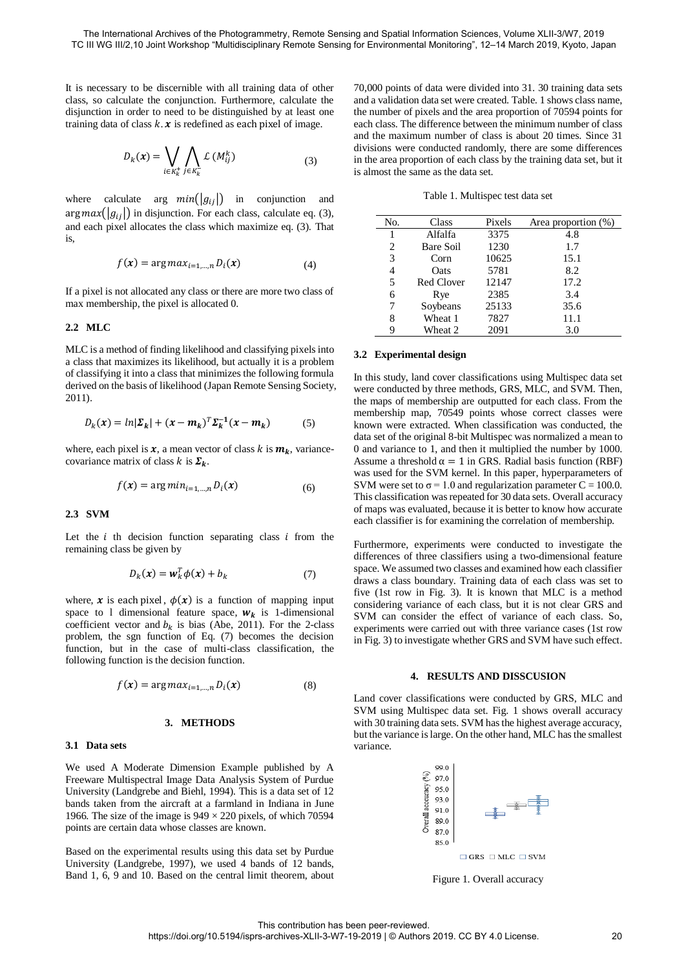It is necessary to be discernible with all training data of other class, so calculate the conjunction. Furthermore, calculate the disjunction in order to need to be distinguished by at least one training data of class  $k \cdot x$  is redefined as each pixel of image.

$$
D_k(x) = \bigvee_{i \in K_k^+} \bigwedge_{j \in K_k^-} L(M_{ij}^k)
$$
 (3)

where calculate arg  $min(|g_{ij}|)$  in conjunction and  $argmax(|g_{ij}|)$  in disjunction. For each class, calculate eq. (3), and each pixel allocates the class which maximize eq. (3). That is,

$$
f(\mathbf{x}) = \arg max_{i=1,\dots,n} D_i(\mathbf{x})
$$
\n(4)

If a pixel is not allocated any class or there are more two class of max membership, the pixel is allocated 0.

#### **2.2 MLC**

MLC is a method of finding likelihood and classifying pixels into a class that maximizes its likelihood, but actually it is a problem of classifying it into a class that minimizes the following formula derived on the basis of likelihood (Japan Remote Sensing Society, 2011).

$$
D_k(x) = \ln |\Sigma_k| + (x - m_k)^T \Sigma_k^{-1} (x - m_k)
$$
 (5)

where, each pixel is  $x$ , a mean vector of class  $k$  is  $m_k$ , variancecovariance matrix of class k is  $\Sigma_k$ .

$$
f(\mathbf{x}) = \arg\min_{i=1,\dots,n} D_i(\mathbf{x})
$$
 (6)

#### **2.3 SVM**

Let the  $i$  th decision function separating class  $i$  from the remaining class be given by

$$
D_k(x) = \mathbf{w}_k^T \phi(x) + b_k \tag{7}
$$

where, x is each pixel,  $\phi(x)$  is a function of mapping input space to 1 dimensional feature space,  $w_k$  is 1-dimensional coefficient vector and  $b_k$  is bias (Abe, 2011). For the 2-class problem, the sgn function of Eq. (7) becomes the decision function, but in the case of multi-class classification, the following function is the decision function.

$$
f(\mathbf{x}) = \arg \max_{i=1,\dots,n} D_i(\mathbf{x}) \tag{8}
$$

#### **3. METHODS**

#### **3.1 Data sets**

We used A Moderate Dimension Example published by A Freeware Multispectral Image Data Analysis System of Purdue University (Landgrebe and Biehl, 1994). This is a data set of 12 bands taken from the aircraft at a farmland in Indiana in June 1966. The size of the image is  $949 \times 220$  pixels, of which 70594 points are certain data whose classes are known.

Based on the experimental results using this data set by Purdue University (Landgrebe, 1997), we used 4 bands of 12 bands, Band 1, 6, 9 and 10. Based on the central limit theorem, about 70,000 points of data were divided into 31. 30 training data sets and a validation data set were created. Table. 1 shows class name, the number of pixels and the area proportion of 70594 points for each class. The difference between the minimum number of class and the maximum number of class is about 20 times. Since 31 divisions were conducted randomly, there are some differences in the area proportion of each class by the training data set, but it is almost the same as the data set.

Table 1. Multispec test data set

| No. | Class      | Pixels | Area proportion (%) |
|-----|------------|--------|---------------------|
| 1   | Alfalfa    | 3375   | 4.8                 |
| 2   | Bare Soil  | 1230   | 1.7                 |
| 3   | Corn       | 10625  | 15.1                |
| 4   | Oats       | 5781   | 8.2                 |
| 5   | Red Clover | 12147  | 17.2                |
| 6   | Rye        | 2385   | 3.4                 |
| 7   | Soybeans   | 25133  | 35.6                |
| 8   | Wheat 1    | 7827   | 11.1                |
| 9   | Wheat 2    | 2091   | 3.0                 |

#### **3.2 Experimental design**

In this study, land cover classifications using Multispec data set were conducted by three methods, GRS, MLC, and SVM. Then, the maps of membership are outputted for each class. From the membership map, 70549 points whose correct classes were known were extracted. When classification was conducted, the data set of the original 8-bit Multispec was normalized a mean to 0 and variance to 1, and then it multiplied the number by 1000. Assume a threshold  $\alpha = 1$  in GRS. Radial basis function (RBF) was used for the SVM kernel. In this paper, hyperparameters of SVM were set to  $\sigma$  = 1.0 and regularization parameter C = 100.0. This classification was repeated for 30 data sets. Overall accuracy of maps was evaluated, because it is better to know how accurate each classifier is for examining the correlation of membership.

Furthermore, experiments were conducted to investigate the differences of three classifiers using a two-dimensional feature space. We assumed two classes and examined how each classifier draws a class boundary. Training data of each class was set to five (1st row in Fig. 3). It is known that MLC is a method considering variance of each class, but it is not clear GRS and SVM can consider the effect of variance of each class. So, experiments were carried out with three variance cases (1st row in Fig. 3) to investigate whether GRS and SVM have such effect.

## **4. RESULTS AND DISSCUSION**

Land cover classifications were conducted by GRS, MLC and SVM using Multispec data set. Fig. 1 shows overall accuracy with 30 training data sets. SVM has the highest average accuracy, but the variance is large. On the other hand, MLC has the smallest variance.



Figure 1. Overall accuracy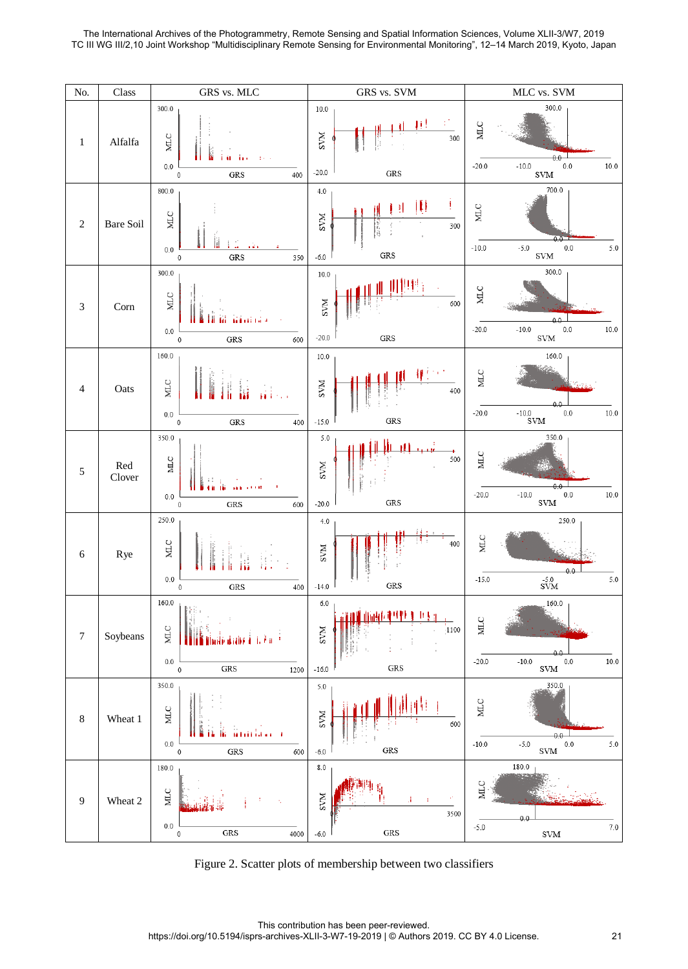

Figure 2. Scatter plots of membership between two classifiers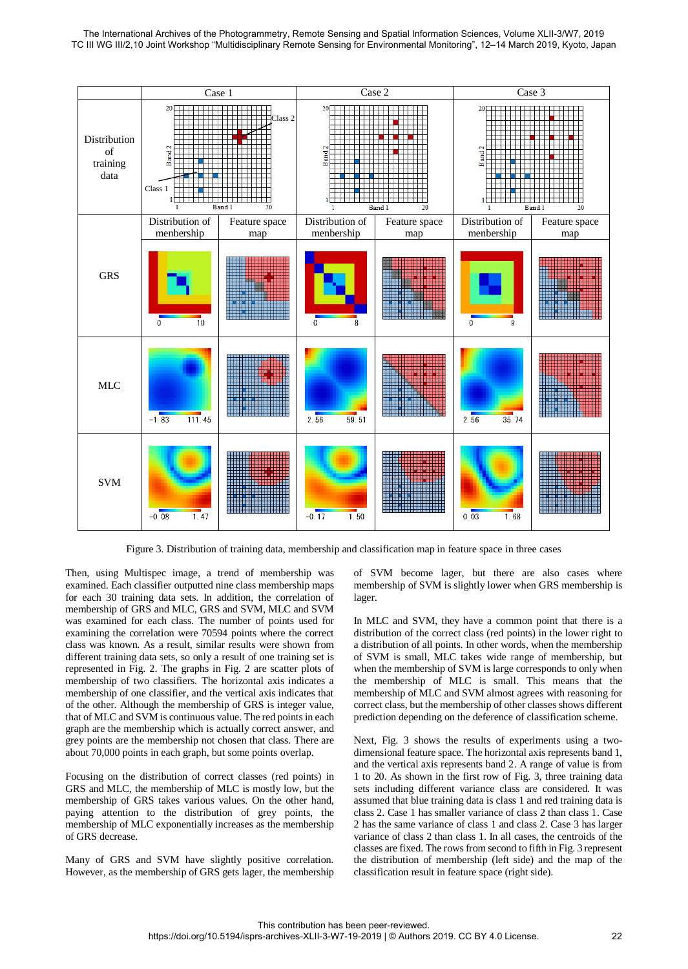

Figure 3. Distribution of training data, membership and classification map in feature space in three cases

Then, using Multispec image, a trend of membership was examined. Each classifier outputted nine class membership maps for each 30 training data sets. In addition, the correlation of membership of GRS and MLC, GRS and SVM, MLC and SVM was examined for each class. The number of points used for examining the correlation were 70594 points where the correct class was known. As a result, similar results were shown from different training data sets, so only a result of one training set is represented in Fig. 2. The graphs in Fig. 2 are scatter plots of membership of two classifiers. The horizontal axis indicates a membership of one classifier, and the vertical axis indicates that of the other. Although the membership of GRS is integer value, that of MLC and SVM is continuous value. The red points in each graph are the membership which is actually correct answer, and grey points are the membership not chosen that class. There are about 70,000 points in each graph, but some points overlap.

Focusing on the distribution of correct classes (red points) in GRS and MLC, the membership of MLC is mostly low, but the membership of GRS takes various values. On the other hand, paying attention to the distribution of grey points, the membership of MLC exponentially increases as the membership of GRS decrease.

Many of GRS and SVM have slightly positive correlation. However, as the membership of GRS gets lager, the membership of SVM become lager, but there are also cases where membership of SVM is slightly lower when GRS membership is lager.

In MLC and SVM, they have a common point that there is a distribution of the correct class (red points) in the lower right to a distribution of all points. In other words, when the membership of SVM is small, MLC takes wide range of membership, but when the membership of SVM is large corresponds to only when the membership of MLC is small. This means that the membership of MLC and SVM almost agrees with reasoning for correct class, but the membership of other classes shows different prediction depending on the deference of classification scheme.

Next, Fig. 3 shows the results of experiments using a twodimensional feature space. The horizontal axis represents band 1, and the vertical axis represents band 2. A range of value is from 1 to 20. As shown in the first row of Fig. 3, three training data sets including different variance class are considered. It was assumed that blue training data is class 1 and red training data is class 2. Case 1 has smaller variance of class 2 than class 1. Case 2 has the same variance of class 1 and class 2. Case 3 has larger variance of class 2 than class 1. In all cases, the centroids of the classes are fixed. The rowsfrom second to fifth in Fig. 3 represent the distribution of membership (left side) and the map of the classification result in feature space (right side).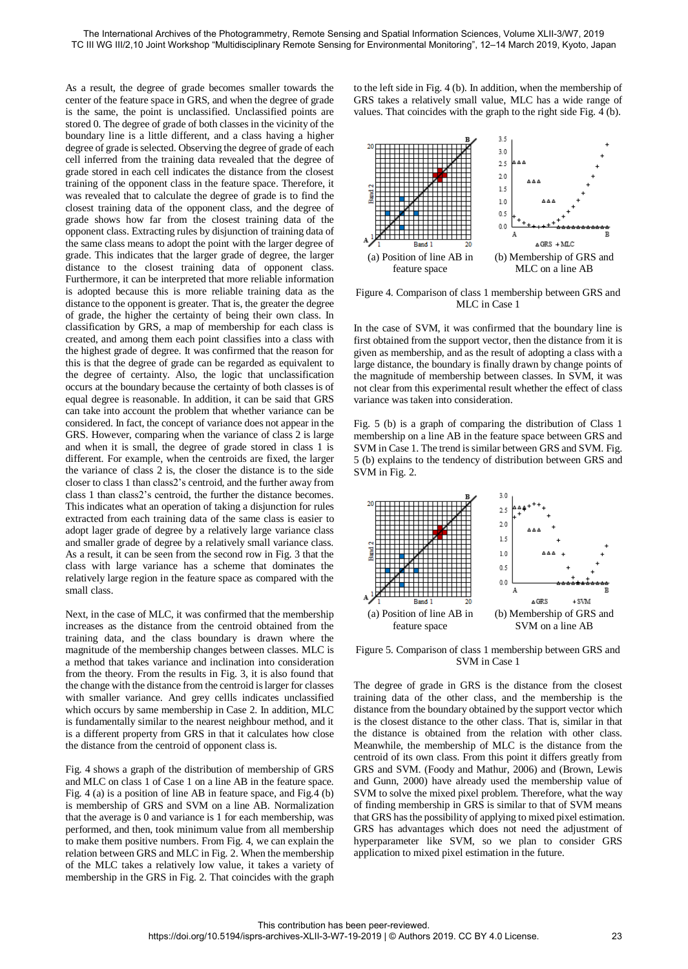As a result, the degree of grade becomes smaller towards the center of the feature space in GRS, and when the degree of grade is the same, the point is unclassified. Unclassified points are stored 0. The degree of grade of both classes in the vicinity of the boundary line is a little different, and a class having a higher degree of grade is selected. Observing the degree of grade of each cell inferred from the training data revealed that the degree of grade stored in each cell indicates the distance from the closest training of the opponent class in the feature space. Therefore, it was revealed that to calculate the degree of grade is to find the closest training data of the opponent class, and the degree of grade shows how far from the closest training data of the opponent class. Extracting rules by disjunction of training data of the same class means to adopt the point with the larger degree of grade. This indicates that the larger grade of degree, the larger distance to the closest training data of opponent class. Furthermore, it can be interpreted that more reliable information is adopted because this is more reliable training data as the distance to the opponent is greater. That is, the greater the degree of grade, the higher the certainty of being their own class. In classification by GRS, a map of membership for each class is created, and among them each point classifies into a class with the highest grade of degree. It was confirmed that the reason for this is that the degree of grade can be regarded as equivalent to the degree of certainty. Also, the logic that unclassification occurs at the boundary because the certainty of both classes is of equal degree is reasonable. In addition, it can be said that GRS can take into account the problem that whether variance can be considered. In fact, the concept of variance does not appear in the GRS. However, comparing when the variance of class 2 is large and when it is small, the degree of grade stored in class 1 is different. For example, when the centroids are fixed, the larger the variance of class 2 is, the closer the distance is to the side closer to class 1 than class2's centroid, and the further away from class 1 than class2's centroid, the further the distance becomes. This indicates what an operation of taking a disjunction for rules extracted from each training data of the same class is easier to adopt lager grade of degree by a relatively large variance class and smaller grade of degree by a relatively small variance class. As a result, it can be seen from the second row in Fig. 3 that the class with large variance has a scheme that dominates the relatively large region in the feature space as compared with the small class.

Next, in the case of MLC, it was confirmed that the membership increases as the distance from the centroid obtained from the training data, and the class boundary is drawn where the magnitude of the membership changes between classes. MLC is a method that takes variance and inclination into consideration from the theory. From the results in Fig. 3, it is also found that the change with the distance from the centroid is larger for classes with smaller variance. And grey cellls indicates unclassified which occurs by same membership in Case 2. In addition, MLC is fundamentally similar to the nearest neighbour method, and it is a different property from GRS in that it calculates how close the distance from the centroid of opponent class is.

Fig. 4 shows a graph of the distribution of membership of GRS and MLC on class 1 of Case 1 on a line AB in the feature space. Fig. 4 (a) is a position of line AB in feature space, and Fig.4 (b) is membership of GRS and SVM on a line AB. Normalization that the average is 0 and variance is 1 for each membership, was performed, and then, took minimum value from all membership to make them positive numbers. From Fig. 4, we can explain the relation between GRS and MLC in Fig. 2. When the membership of the MLC takes a relatively low value, it takes a variety of membership in the GRS in Fig. 2. That coincides with the graph

to the left side in Fig. 4 (b). In addition, when the membership of GRS takes a relatively small value, MLC has a wide range of values. That coincides with the graph to the right side Fig. 4 (b).



Figure 4. Comparison of class 1 membership between GRS and MLC in Case 1

In the case of SVM, it was confirmed that the boundary line is first obtained from the support vector, then the distance from it is given as membership, and as the result of adopting a class with a large distance, the boundary is finally drawn by change points of the magnitude of membership between classes. In SVM, it was not clear from this experimental result whether the effect of class variance was taken into consideration.

Fig. 5 (b) is a graph of comparing the distribution of Class 1 membership on a line AB in the feature space between GRS and SVM in Case 1. The trend is similar between GRS and SVM. Fig. 5 (b) explains to the tendency of distribution between GRS and SVM in Fig. 2.



Figure 5. Comparison of class 1 membership between GRS and SVM in Case 1

The degree of grade in GRS is the distance from the closest training data of the other class, and the membership is the distance from the boundary obtained by the support vector which is the closest distance to the other class. That is, similar in that the distance is obtained from the relation with other class. Meanwhile, the membership of MLC is the distance from the centroid of its own class. From this point it differs greatly from GRS and SVM. (Foody and Mathur, 2006) and (Brown, Lewis and Gunn, 2000) have already used the membership value of SVM to solve the mixed pixel problem. Therefore, what the way of finding membership in GRS is similar to that of SVM means that GRS has the possibility of applying to mixed pixel estimation. GRS has advantages which does not need the adjustment of hyperparameter like SVM, so we plan to consider GRS application to mixed pixel estimation in the future.